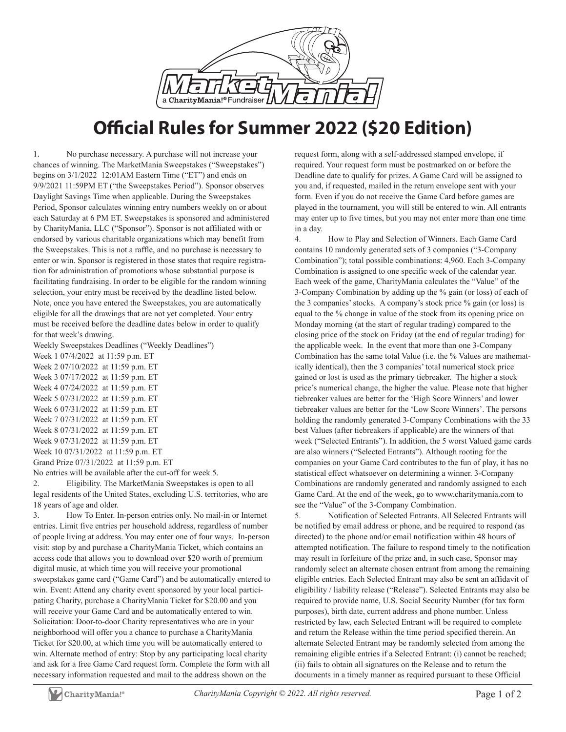

## **Official Rules for Summer 2022 (\$20 Edition)**

1. No purchase necessary. A purchase will not increase your chances of winning. The MarketMania Sweepstakes ("Sweepstakes") begins on 3/1/2022 12:01AM Eastern Time ("ET") and ends on 9/9/2021 11:59PM ET ("the Sweepstakes Period"). Sponsor observes Daylight Savings Time when applicable. During the Sweepstakes Period, Sponsor calculates winning entry numbers weekly on or about each Saturday at 6 PM ET. Sweepstakes is sponsored and administered by CharityMania, LLC ("Sponsor"). Sponsor is not affiliated with or endorsed by various charitable organizations which may benefit from the Sweepstakes. This is not a raffle, and no purchase is necessary to enter or win. Sponsor is registered in those states that require registration for administration of promotions whose substantial purpose is facilitating fundraising. In order to be eligible for the random winning selection, your entry must be received by the deadline listed below. Note, once you have entered the Sweepstakes, you are automatically eligible for all the drawings that are not yet completed. Your entry must be received before the deadline dates below in order to qualify for that week's drawing.

Weekly Sweepstakes Deadlines ("Weekly Deadlines")

Week 1 07/4/2022 at 11:59 p.m. ET Week 2 07/10/2022 at 11:59 p.m. ET Week 3 07/17/2022 at 11:59 p.m. ET Week 4 07/24/2022 at 11:59 p.m. ET Week 5 07/31/2022 at 11:59 p.m. ET Week 6 07/31/2022 at 11:59 p.m. ET Week 7 07/31/2022 at 11:59 p.m. ET Week 8 07/31/2022 at 11:59 p.m. ET Week 9 07/31/2022 at 11:59 p.m. ET Week 10 07/31/2022 at 11:59 p.m. ET Grand Prize 07/31/2022 at 11:59 p.m. ET

No entries will be available after the cut-off for week 5.

2. Eligibility. The MarketMania Sweepstakes is open to all legal residents of the United States, excluding U.S. territories, who are 18 years of age and older.

3. How To Enter. In-person entries only. No mail-in or Internet entries. Limit five entries per household address, regardless of number of people living at address. You may enter one of four ways. In-person visit: stop by and purchase a CharityMania Ticket, which contains an access code that allows you to download over \$20 worth of premium digital music, at which time you will receive your promotional sweepstakes game card ("Game Card") and be automatically entered to win. Event: Attend any charity event sponsored by your local participating Charity, purchase a CharityMania Ticket for \$20.00 and you will receive your Game Card and be automatically entered to win. Solicitation: Door-to-door Charity representatives who are in your neighborhood will offer you a chance to purchase a CharityMania Ticket for \$20.00, at which time you will be automatically entered to win. Alternate method of entry: Stop by any participating local charity and ask for a free Game Card request form. Complete the form with all necessary information requested and mail to the address shown on the

request form, along with a self-addressed stamped envelope, if required. Your request form must be postmarked on or before the Deadline date to qualify for prizes. A Game Card will be assigned to you and, if requested, mailed in the return envelope sent with your form. Even if you do not receive the Game Card before games are played in the tournament, you will still be entered to win. All entrants may enter up to five times, but you may not enter more than one time in a day.

4. How to Play and Selection of Winners. Each Game Card contains 10 randomly generated sets of 3 companies ("3-Company Combination"); total possible combinations: 4,960. Each 3-Company Combination is assigned to one specific week of the calendar year. Each week of the game, CharityMania calculates the "Value" of the 3-Company Combination by adding up the % gain (or loss) of each of the 3 companies' stocks. A company's stock price % gain (or loss) is equal to the % change in value of the stock from its opening price on Monday morning (at the start of regular trading) compared to the closing price of the stock on Friday (at the end of regular trading) for the applicable week. In the event that more than one 3-Company Combination has the same total Value (i.e. the % Values are mathematically identical), then the 3 companies' total numerical stock price gained or lost is used as the primary tiebreaker. The higher a stock price's numerical change, the higher the value. Please note that higher tiebreaker values are better for the 'High Score Winners' and lower tiebreaker values are better for the 'Low Score Winners'. The persons holding the randomly generated 3-Company Combinations with the 33 best Values (after tiebreakers if applicable) are the winners of that week ("Selected Entrants"). In addition, the 5 worst Valued game cards are also winners ("Selected Entrants"). Although rooting for the companies on your Game Card contributes to the fun of play, it has no statistical effect whatsoever on determining a winner. 3-Company Combinations are randomly generated and randomly assigned to each Game Card. At the end of the week, go to www.charitymania.com to see the "Value" of the 3-Company Combination.

5. Notification of Selected Entrants. All Selected Entrants will be notified by email address or phone, and be required to respond (as directed) to the phone and/or email notification within 48 hours of attempted notification. The failure to respond timely to the notification may result in forfeiture of the prize and, in such case, Sponsor may randomly select an alternate chosen entrant from among the remaining eligible entries. Each Selected Entrant may also be sent an affidavit of eligibility / liability release ("Release"). Selected Entrants may also be required to provide name, U.S. Social Security Number (for tax form purposes), birth date, current address and phone number. Unless restricted by law, each Selected Entrant will be required to complete and return the Release within the time period specified therein. An alternate Selected Entrant may be randomly selected from among the remaining eligible entries if a Selected Entrant: (i) cannot be reached; (ii) fails to obtain all signatures on the Release and to return the documents in a timely manner as required pursuant to these Official